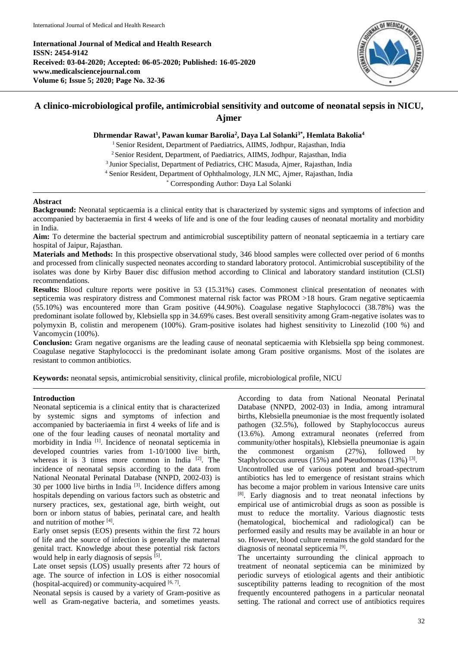**International Journal of Medical and Health Research ISSN: 2454-9142 Received: 03-04-2020; Accepted: 06-05-2020; Published: 16-05-2020 www.medicalsciencejournal.com Volume 6; Issue 5; 2020; Page No. 32-36**



# **A clinico-microbiological profile, antimicrobial sensitivity and outcome of neonatal sepsis in NICU, Ajmer**

**Dhrmendar Rawat<sup>1</sup> , Pawan kumar Barolia<sup>2</sup> , Daya Lal Solanki3\* , Hemlata Bakolia<sup>4</sup>**

<sup>1</sup> Senior Resident, Department of Paediatrics, AIIMS, Jodhpur, Rajasthan, India

<sup>2</sup> Senior Resident, Department, of Paediatrics, AIIMS, Jodhpur, Rajasthan, India

<sup>3</sup> Junior Specialist, Department of Pediatrics, CHC Masuda, Ajmer, Rajasthan, India

<sup>4</sup> Senior Resident, Department of Ophthalmology, JLN MC, Ajmer, Rajasthan, India

\* Corresponding Author: Daya Lal Solanki

## **Abstract**

**Background:** Neonatal septicaemia is a clinical entity that is characterized by systemic signs and symptoms of infection and accompanied by bacteraemia in first 4 weeks of life and is one of the four leading causes of neonatal mortality and morbidity in India.

**Aim:** To determine the bacterial spectrum and antimicrobial susceptibility pattern of neonatal septicaemia in a tertiary care hospital of Jaipur, Rajasthan.

**Materials and Methods:** In this prospective observational study, 346 blood samples were collected over period of 6 months and processed from clinically suspected neonates according to standard laboratory protocol. Antimicrobial susceptibility of the isolates was done by Kirby Bauer disc diffusion method according to Clinical and laboratory standard institution (CLSI) recommendations.

**Results:** Blood culture reports were positive in 53 (15.31%) cases. Commonest clinical presentation of neonates with septicemia was respiratory distress and Commonest maternal risk factor was PROM >18 hours. Gram negative septicaemia (55.10%) was encountered more than Gram positive (44.90%). Coagulase negative Staphylococci (38.78%) was the predominant isolate followed by, Klebsiella spp in 34.69% cases. Best overall sensitivity among Gram-negative isolates was to polymyxin B, colistin and meropenem (100%). Gram-positive isolates had highest sensitivity to Linezolid (100 %) and Vancomycin (100%).

**Conclusion:** Gram negative organisms are the leading cause of neonatal septicaemia with Klebsiella spp being commonest. Coagulase negative Staphylococci is the predominant isolate among Gram positive organisms. Most of the isolates are resistant to common antibiotics.

**Keywords:** neonatal sepsis, antimicrobial sensitivity, clinical profile, microbiological profile, NICU

## **Introduction**

Neonatal septicemia is a clinical entity that is characterized by systemic signs and symptoms of infection and accompanied by bacteriaemia in first 4 weeks of life and is one of the four leading causes of neonatal mortality and morbidity in India<sup>[1]</sup>. Incidence of neonatal septicemia in developed countries varies from 1-10/1000 live birth, whereas it is  $3$  times more common in India  $^{[2]}$ . The incidence of neonatal sepsis according to the data from National Neonatal Perinatal Database (NNPD, 2002-03) is 30 per 1000 live births in India  $[3]$ . Incidence differs among hospitals depending on various factors such as obstetric and nursery practices, sex, gestational age, birth weight, out born or inborn status of babies, perinatal care, and health and nutrition of mother [4].

Early onset sepsis (EOS) presents within the first 72 hours of life and the source of infection is generally the maternal genital tract. Knowledge about these potential risk factors would help in early diagnosis of sepsis [5].

Late onset sepsis (LOS) usually presents after 72 hours of age. The source of infection in LOS is either nosocomial (hospital-acquired) or community-acquired  $[6, 7]$ .

Neonatal sepsis is caused by a variety of Gram-positive as well as Gram-negative bacteria, and sometimes yeasts.

According to data from National Neonatal Perinatal Database (NNPD, 2002-03) in India, among intramural births, Klebsiella pneumoniae is the most frequently isolated pathogen (32.5%), followed by Staphylococcus aureus (13.6%). Among extramural neonates (referred from community/other hospitals), Klebsiella pneumoniae is again the commonest organism (27%), followed by Staphylococcus aureus (15%) and Pseudomonas (13%) [3].

Uncontrolled use of various potent and broad-spectrum antibiotics has led to emergence of resistant strains which has become a major problem in various Intensive care units [8] . Early diagnosis and to treat neonatal infections by empirical use of antimicrobial drugs as soon as possible is must to reduce the mortality. Various diagnostic tests (hematological, biochemical and radiological) can be performed easily and results may be available in an hour or so. However, blood culture remains the gold standard for the diagnosis of neonatal septicemia<sup>[9]</sup>.

The uncertainty surrounding the clinical approach to treatment of neonatal septicemia can be minimized by periodic surveys of etiological agents and their antibiotic susceptibility patterns leading to recognition of the most frequently encountered pathogens in a particular neonatal setting. The rational and correct use of antibiotics requires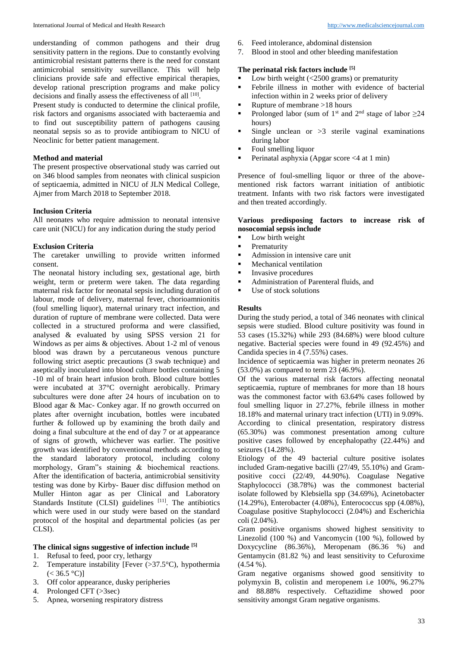understanding of common pathogens and their drug sensitivity pattern in the regions. Due to constantly evolving antimicrobial resistant patterns there is the need for constant antimicrobial sensitivity surveillance. This will help clinicians provide safe and effective empirical therapies, develop rational prescription programs and make policy decisions and finally assess the effectiveness of all  $[10]$ .

Present study is conducted to determine the clinical profile, risk factors and organisms associated with bacteraemia and to find out susceptibility pattern of pathogens causing neonatal sepsis so as to provide antibiogram to NICU of Neoclinic for better patient management.

## **Method and material**

The present prospective observational study was carried out on 346 blood samples from neonates with clinical suspicion of septicaemia, admitted in NICU of JLN Medical College, Ajmer from March 2018 to September 2018.

## **Inclusion Criteria**

All neonates who require admission to neonatal intensive care unit (NICU) for any indication during the study period

## **Exclusion Criteria**

The caretaker unwilling to provide written informed consent.

The neonatal history including sex, gestational age, birth weight, term or preterm were taken. The data regarding maternal risk factor for neonatal sepsis including duration of labour, mode of delivery, maternal fever, chorioamnionitis (foul smelling liquor), maternal urinary tract infection, and duration of rupture of membrane were collected. Data were collected in a structured proforma and were classified, analysed & evaluated by using SPSS version 21 for Windows as per aims & objectives. About 1-2 ml of venous blood was drawn by a percutaneous venous puncture following strict aseptic precautions (3 swab technique) and aseptically inoculated into blood culture bottles containing 5 -10 ml of brain heart infusion broth. Blood culture bottles were incubated at 37°C overnight aerobically. Primary subcultures were done after 24 hours of incubation on to Blood agar & Mac- Conkey agar. If no growth occurred on plates after overnight incubation, bottles were incubated further & followed up by examining the broth daily and doing a final subculture at the end of day 7 or at appearance of signs of growth, whichever was earlier. The positive growth was identified by conventional methods according to the standard laboratory protocol, including colony morphology, Gram"s staining & biochemical reactions. After the identification of bacteria, antimicrobial sensitivity testing was done by Kirby- Bauer disc diffusion method on Muller Hinton agar as per Clinical and Laboratory Standards Institute (CLSI) guidelines  $[11]$ . The antibiotics which were used in our study were based on the standard protocol of the hospital and departmental policies (as per CLSI).

## **The clinical signs suggestive of infection include [5]**

- 1. Refusal to feed, poor cry, lethargy
- 2. Temperature instability [Fever  $(>37.5^{\circ}C)$ , hypothermia  $(< 36.5 °C)$ ]
- 3. Off color appearance, dusky peripheries
- 4. Prolonged CFT (>3sec)
- 5. Apnea, worsening respiratory distress
- 6. Feed intolerance, abdominal distension
- 7. Blood in stool and other bleeding manifestation

# **The perinatal risk factors include [5]**

- Low birth weight  $\leq 2500$  grams) or prematurity<br>Febrile illness in mother with evidence of 1
- Febrile illness in mother with evidence of bacterial infection within in 2 weeks prior of delivery
- Rupture of membrane  $>18$  hours<br>Prolonged labor (sum of 1<sup>st</sup> and
- Prolonged labor (sum of 1<sup>st</sup> and 2<sup>nd</sup> stage of labor  $\geq$ 24 hours)
- Single unclean or  $>3$  sterile vaginal examinations during labor
- Foul smelling liquor
- Perinatal asphyxia (Apgar score <4 at 1 min)

Presence of foul-smelling liquor or three of the abovementioned risk factors warrant initiation of antibiotic treatment. Infants with two risk factors were investigated and then treated accordingly.

# **Various predisposing factors to increase risk of nosocomial sepsis include**

- **Low birth weight**
- **Prematurity**
- Admission in intensive care unit
- $\blacksquare$  Mechanical ventilation
- Invasive procedures
- Administration of Parenteral fluids, and<br>• Use of stock solutions
- Use of stock solutions

## **Results**

During the study period, a total of 346 neonates with clinical sepsis were studied. Blood culture positivity was found in 53 cases (15.32%) while 293 (84.68%) were blood culture negative. Bacterial species were found in 49 (92.45%) and Candida species in 4 (7.55%) cases.

Incidence of septicaemia was higher in preterm neonates 26 (53.0%) as compared to term 23 (46.9%).

Of the various maternal risk factors affecting neonatal septicaemia, rupture of membranes for more than 18 hours was the commonest factor with 63.64% cases followed by foul smelling liquor in 27.27%, febrile illness in mother 18.18% and maternal urinary tract infection (UTI) in 9.09%. According to clinical presentation, respiratory distress (65.30%) was commonest presentation among culture positive cases followed by encephalopathy (22.44%) and seizures (14.28%).

Etiology of the 49 bacterial culture positive isolates included Gram-negative bacilli (27/49, 55.10%) and Grampositive cocci (22/49, 44.90%). Coagulase Negative Staphylococci (38.78%) was the commonest bacterial isolate followed by Klebsiella spp (34.69%), Acinetobacter (14.29%), Enterobacter (4.08%), Enterococcus spp (4.08%), Coagulase positive Staphylococci (2.04%) and Escherichia coli (2.04%).

Gram positive organisms showed highest sensitivity to Linezolid (100 %) and Vancomycin (100 %), followed by Doxycycline (86.36%), Meropenam (86.36 %) and Gentamycin (81.82 %) and least sensitivity to Cefuroxime  $(4.54\%).$ 

Gram negative organisms showed good sensitivity to polymyxin B, colistin and meropenem i.e 100%, 96.27% and 88.88% respectively. Ceftazidime showed poor sensitivity amongst Gram negative organisms.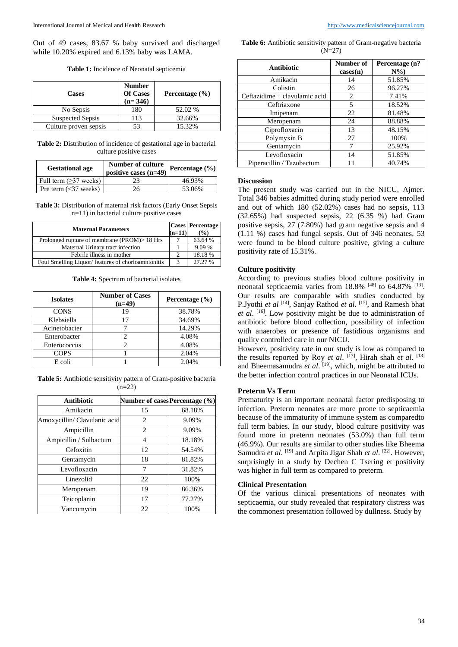Out of 49 cases, 83.67 % baby survived and discharged while 10.20% expired and 6.13% baby was LAMA.

**Table 1:** Incidence of Neonatal septicemia

| <b>Cases</b>          | <b>Number</b><br><b>Of Cases</b><br>$(n=346)$ | Percentage $(\% )$ |
|-----------------------|-----------------------------------------------|--------------------|
| No Sepsis             | 180                                           | 52.02 %            |
| Suspected Sepsis      | 113                                           | 32.66%             |
| Culture proven sepsis |                                               | 15.32%             |

**Table 2:** Distribution of incidence of gestational age in bacterial culture positive cases

| <b>Gestational age</b>  | Number of culture<br>positive cases $(n=49)$ | Percentage (%) |
|-------------------------|----------------------------------------------|----------------|
| Full term (>37 weeks)   |                                              | 46.93%         |
| Pre term $(<$ 37 weeks) | 26                                           | 53.06%         |

**Table 3:** Distribution of maternal risk factors (Early Onset Sepsis n=11) in bacterial culture positive cases

| <b>Maternal Parameters</b>                         | $(n=11)$ | <b>Cases</b> Percentage<br>$\binom{0}{0}$ |
|----------------------------------------------------|----------|-------------------------------------------|
| Prolonged rupture of membrane (PROM) > 18 Hrs      |          | 63.64 %                                   |
| Maternal Urinary tract infection                   |          | 9.09 %                                    |
| Febrile illness in mother                          |          | 18.18%                                    |
| Foul Smelling Liquor/ features of chorioamnionitis |          | 27.27%                                    |

**Table 4:** Spectrum of bacterial isolates

| <b>Isolates</b> | <b>Number of Cases</b><br>$(n=49)$ | Percentage $(\% )$ |
|-----------------|------------------------------------|--------------------|
| <b>CONS</b>     | 19                                 | 38.78%             |
| Klebsiella      | 17                                 | 34.69%             |
| Acinetobacter   |                                    | 14.29%             |
| Enterobacter    |                                    | 4.08%              |
| Enterococcus    |                                    | 4.08%              |
| <b>COPS</b>     |                                    | 2.04%              |
| E coli          |                                    | 2.04%              |

**Table 5:** Antibiotic sensitivity pattern of Gram-positive bacteria  $(n=22)$ 

| <b>Antibiotic</b>            | Number of cases Percentage (%) |        |
|------------------------------|--------------------------------|--------|
| Amikacin                     | 15                             | 68.18% |
| Amoxycillin/ Clavulanic acid | 2                              | 9.09%  |
| Ampicillin                   | 2                              | 9.09%  |
| Ampicillin / Sulbactum       | 4                              | 18.18% |
| Cefoxitin                    | 12                             | 54.54% |
| Gentamycin                   | 18                             | 81.82% |
| Levofloxacin                 | 7                              | 31.82% |
| Linezolid                    | 22                             | 100%   |
| Meropenam                    | 19                             | 86.36% |
| Teicoplanin                  | 17                             | 77.27% |
| Vancomycin                   | 22                             | 100%   |

Table 6: Antibiotic sensitivity pattern of Gram-negative bacteria (N=27)

| <b>Antibiotic</b>             | Number of<br>cases(n) | Percentage (n?<br>$N\%$ |
|-------------------------------|-----------------------|-------------------------|
| Amikacin                      | 14                    | 51.85%                  |
| Colistin                      | 26                    | 96.27%                  |
| Ceftazidime + clavulamic acid | 2                     | 7.41%                   |
| Ceftriaxone                   | 5                     | 18.52%                  |
| Imipenam                      | 22                    | 81.48%                  |
| Meropenam                     | 24                    | 88.88%                  |
| Ciprofloxacin                 | 13                    | 48.15%                  |
| Polymyxin B                   | 27                    | 100%                    |
| Gentamycin                    |                       | 25.92%                  |
| Levofloxacin                  | 14                    | 51.85%                  |
| Piperacillin / Tazobactum     |                       | 40.74%                  |

#### **Discussion**

The present study was carried out in the NICU, Ajmer. Total 346 babies admitted during study period were enrolled and out of which 180 (52.02%) cases had no sepsis, 113 (32.65%) had suspected sepsis, 22 (6.35 %) had Gram positive sepsis, 27 (7.80%) had gram negative sepsis and 4 (1.11 %) cases had fungal sepsis. Out of 346 neonates, 53 were found to be blood culture positive, giving a culture positivity rate of 15.31%.

#### **Culture positivity**

According to previous studies blood culture positivity in neonatal septicaemia varies from 18.8% [48] to 64.87% [13]. Our results are comparable with studies conducted by P.Jyothi *et al*<sup>[14]</sup>, Sanjay Rathod *et al*. <sup>[15]</sup>, and Ramesh bhat et al. <sup>[16]</sup>. Low positivity might be due to administration of antibiotic before blood collection, possibility of infection with anaerobes or presence of fastidious organisms and quality controlled care in our NICU.

However, positivity rate in our study is low as compared to the results reported by Roy *et al.* [17], Hirah shah *et al.* [18] and Bheemasamudra et al. [19], which, might be attributed to the better infection control practices in our Neonatal ICUs.

## **Preterm Vs Term**

Prematurity is an important neonatal factor predisposing to infection. Preterm neonates are more prone to septicaemia because of the immaturity of immune system as comparedto full term babies. In our study, blood culture positivity was found more in preterm neonates (53.0%) than full term (46.9%). Our results are similar to other studies like Bheema Samudra *et al.* <sup>[19]</sup> and Arpita Jigar Shah *et al.* <sup>[22]</sup>. However, surprisingly in a study by Dechen C Tsering et positivity was higher in full term as compared to preterm.

#### **Clinical Presentation**

Of the various clinical presentations of neonates with septicaemia, our study revealed that respiratory distress was the commonest presentation followed by dullness. Study by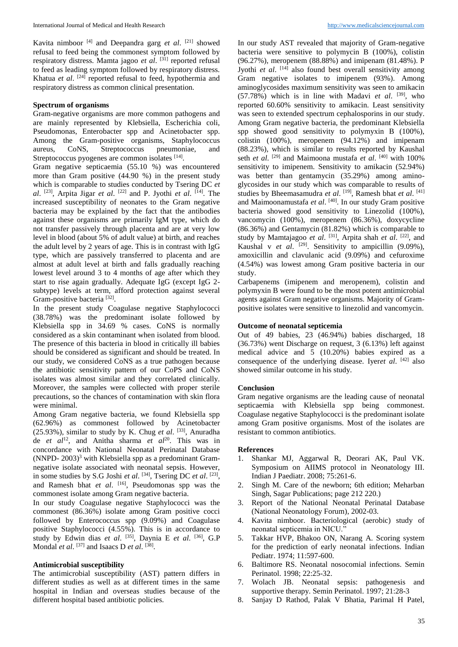Kavita nimboor <sup>[4]</sup> and Deepandra garg *et al*. <sup>[21]</sup> showed refusal to feed being the commonest symptom followed by respiratory distress. Mamta jagoo *et al*. [31] reported refusal to feed as leading symptom followed by respiratory distress. Khatua et al.<sup>[24]</sup> reported refusal to feed, hypothermia and respiratory distress as common clinical presentation.

## **Spectrum of organisms**

Gram-negative organisms are more common pathogens and are mainly represented by Klebsiella, Escherichia coli, Pseudomonas, Enterobacter spp and Acinetobacter spp. Among the Gram-positive organisms, Staphylococcus aureus, CoNS, Streptococcus pneumoniae, and Streptococcus pyogenes are common isolates [14].

Gram negative septicaemia (55.10 %) was encountered more than Gram positive (44.90 %) in the present study which is comparable to studies conducted by Tsering DC *et*  al. <sup>[23]</sup>, Arpita Jigar *et al.* <sup>[22]</sup> and P. Jyothi *et al.* <sup>[14]</sup>. The increased susceptibility of neonates to the Gram negative bacteria may be explained by the fact that the antibodies against these organisms are primarily IgM type, which do not transfer passively through placenta and are at very low level in blood (about 5% of adult value) at birth, and reaches the adult level by 2 years of age. This is in contrast with IgG type, which are passively transferred to placenta and are almost at adult level at birth and falls gradually reaching lowest level around 3 to 4 months of age after which they start to rise again gradually. Adequate IgG (except IgG 2 subtype) levels at term, afford protection against several Gram-positive bacteria<sup>[32]</sup>.

In the present study Coagulase negative Staphylococci (38.78%) was the predominant isolate followed by Klebsiella spp in 34.69 % cases. CoNS is normally considered as a skin contaminant when isolated from blood. The presence of this bacteria in blood in critically ill babies should be considered as significant and should be treated. In our study, we considered CoNS as a true pathogen because the antibiotic sensitivity pattern of our CoPS and CoNS isolates was almost similar and they correlated clinically. Moreover, the samples were collected with proper sterile precautions, so the chances of contamination with skin flora were minimal.

Among Gram negative bacteria, we found Klebsiella spp (62.96%) as commonest followed by Acinetobacter (25.93%), similar to study by K. Chug *et al*. [33] , Anuradha de *et al*<sup>12</sup>, and Anitha sharma *et al*<sup>20</sup>. This was in concordance with National Neonatal Perinatal Database (NNPD-  $2003$ )<sup>3</sup> with Klebsiella spp as a predominant Gramnegative isolate associated with neonatal sepsis. However, in some studies by S.G Joshi *et al.* <sup>[34]</sup>, Tsering DC *et al.* <sup>[23]</sup>, and Ramesh bhat *et al*. [16] , Pseudomonas spp was the commonest isolate among Gram negative bacteria.

In our study Coagulase negative Staphylococci was the commonest (86.36%) isolate among Gram positive cocci followed by Enterococcus spp (9.09%) and Coagulase positive Staphylococci (4.55%). This is in accordance to study by Edwin dias et al. <sup>[35]</sup>, Daynia E et al. <sup>[36]</sup>, G.P Mondal *et al.* [37] and Isaacs D *et al.* [38].

#### **Antimicrobial susceptibility**

The antimicrobial susceptibility (AST) pattern differs in different studies as well as at different times in the same hospital in Indian and overseas studies because of the different hospital based antibiotic policies.

In our study AST revealed that majority of Gram-negative bacteria were sensitive to polymycin B (100%), colistin (96.27%), meropenem (88.88%) and imipenam (81.48%). P Jyothi *et al.* <sup>[14]</sup> also found best overall sensitivity among Gram negative isolates to imipenem (93%). Among aminoglycosides maximum sensitivity was seen to amikacin  $(57.78%)$  which is in line with Madavi *et al.* <sup>[39]</sup>, who reported 60.60% sensitivity to amikacin. Least sensitivity was seen to extended spectrum cephalosporins in our study. Among Gram negative bacteria, the predominant Klebsiella spp showed good sensitivity to polymyxin B (100%), colistin (100%), meropenem (94.12%) and imipenam (88.23%), which is similar to results reported by Kaushal seth *et al.* <sup>[29]</sup> and Maimoona mustafa *et al.* <sup>[40]</sup> with 100% sensitivity to imipenem. Sensitivity to amikacin (52.94%) was better than gentamycin (35.29%) among aminoglycosides in our study which was comparable to results of studies by Bheemasamudra *et al.* [19], Ramesh bhat *et al.* [41] and Maimoonamustafa et al. <sup>[40]</sup>. In our study Gram positive bacteria showed good sensitivity to Linezolid (100%), vancomycin (100%), meropenem (86.36%), doxycycline (86.36%) and Gentamycin (81.82%) which is comparable to study by Mamtajagoo *et al.* <sup>[31]</sup>, Arpita shah *et al.* <sup>[22]</sup>, and Kaushal v *et al.* <sup>[29]</sup>. Sensitivity to ampicillin (9.09%), amoxicillin and clavulanic acid (9.09%) and cefuroxime (4.54%) was lowest among Gram positive bacteria in our study.

Carbapenems (imipenem and meropenem), colistin and polymyxin B were found to be the most potent antimicrobial agents against Gram negative organisms. Majority of Grampositive isolates were sensitive to linezolid and vancomycin.

# **Outcome of neonatal septicemia**

Out of 49 babies, 23 (46.94%) babies discharged, 18 (36.73%) went Discharge on request, 3 (6.13%) left against medical advice and 5 (10.20%) babies expired as a consequence of the underlying disease. Iyer*et al*. [42] also showed similar outcome in his study.

#### **Conclusion**

Gram negative organisms are the leading cause of neonatal septicaemia with Klebsiella spp being commonest. Coagulase negative Staphylococci is the predominant isolate among Gram positive organisms. Most of the isolates are resistant to common antibiotics.

#### **References**

- 1. Shankar MJ, Aggarwal R, Deorari AK, Paul VK. Symposium on AIIMS protocol in Neonatology III. Indian J Paediatr. 2008; 75:261-6.
- 2. Singh M. Care of the newborn; 6th edition; Meharban Singh, Sagar Publications; page 212 220.)
- 3. Report of the National Neonatal Perinatal Database (National Neonatology Forum), 2002-03.
- 4. Kavita nimboor. Bacteriological (aerobic) study of neonatal septicemia in NICU."
- 5. Takkar HVP, Bhakoo ON, Narang A. Scoring system for the prediction of early neonatal infections. Indian Pediatr. 1974; 11:597-600.
- 6. Baltimore RS. Neonatal nosocomial infections. Semin Perinatol. 1998; 22:25-32.
- 7. Wolach JB. Neonatal sepsis: pathogenesis and supportive therapy. Semin Perinatol. 1997; 21:28-3
- 8. Sanjay D Rathod, Palak V Bhatia, Parimal H Patel,